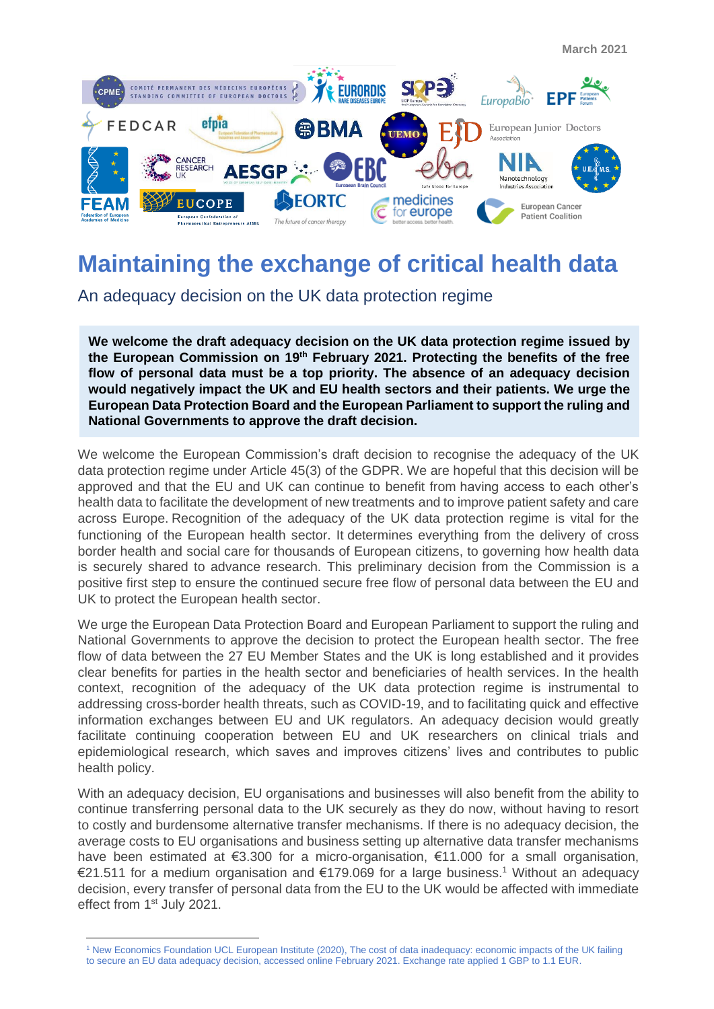

# **Maintaining the exchange of critical health data**

An adequacy decision on the UK data protection regime

**We welcome the draft adequacy decision on the UK data protection regime issued by the European Commission on 19th February 2021. Protecting the benefits of the free flow of personal data must be a top priority. The absence of an adequacy decision would negatively impact the UK and EU health sectors and their patients. We urge the European Data Protection Board and the European Parliament to support the ruling and National Governments to approve the draft decision.** 

We welcome the European Commission's draft decision to recognise the adequacy of the UK data protection regime under Article 45(3) of the GDPR. We are hopeful that this decision will be approved and that the EU and UK can continue to benefit from having access to each other's health data to facilitate the development of new treatments and to improve patient safety and care across Europe. Recognition of the adequacy of the UK data protection regime is vital for the functioning of the European health sector. It determines everything from the delivery of cross border health and social care for thousands of European citizens, to governing how health data is securely shared to advance research. This preliminary decision from the Commission is a positive first step to ensure the continued secure free flow of personal data between the EU and UK to protect the European health sector.

We urge the European Data Protection Board and European Parliament to support the ruling and National Governments to approve the decision to protect the European health sector. The free flow of data between the 27 EU Member States and the UK is long established and it provides clear benefits for parties in the health sector and beneficiaries of health services. In the health context, recognition of the adequacy of the UK data protection regime is instrumental to addressing cross-border health threats, such as COVID-19, and to facilitating quick and effective information exchanges between EU and UK regulators. An adequacy decision would greatly facilitate continuing cooperation between EU and UK researchers on clinical trials and epidemiological research, which saves and improves citizens' lives and contributes to public health policy.

With an adequacy decision, EU organisations and businesses will also benefit from the ability to continue transferring personal data to the UK securely as they do now, without having to resort to costly and burdensome alternative transfer mechanisms. If there is no adequacy decision, the average costs to EU organisations and business setting up alternative data transfer mechanisms have been estimated at €3.300 for a micro-organisation, €11.000 for a small organisation, €21.511 for a medium organisation and €179.069 for a large business. <sup>1</sup> Without an adequacy decision, every transfer of personal data from the EU to the UK would be affected with immediate effect from 1<sup>st</sup> July 2021.

<sup>1</sup> New Economics Foundation UCL European Institute (2020), The cost of data inadequacy: economic impacts of the UK failing to secure an EU data adequacy decision, accessed online February 2021. Exchange rate applied 1 GBP to 1.1 EUR.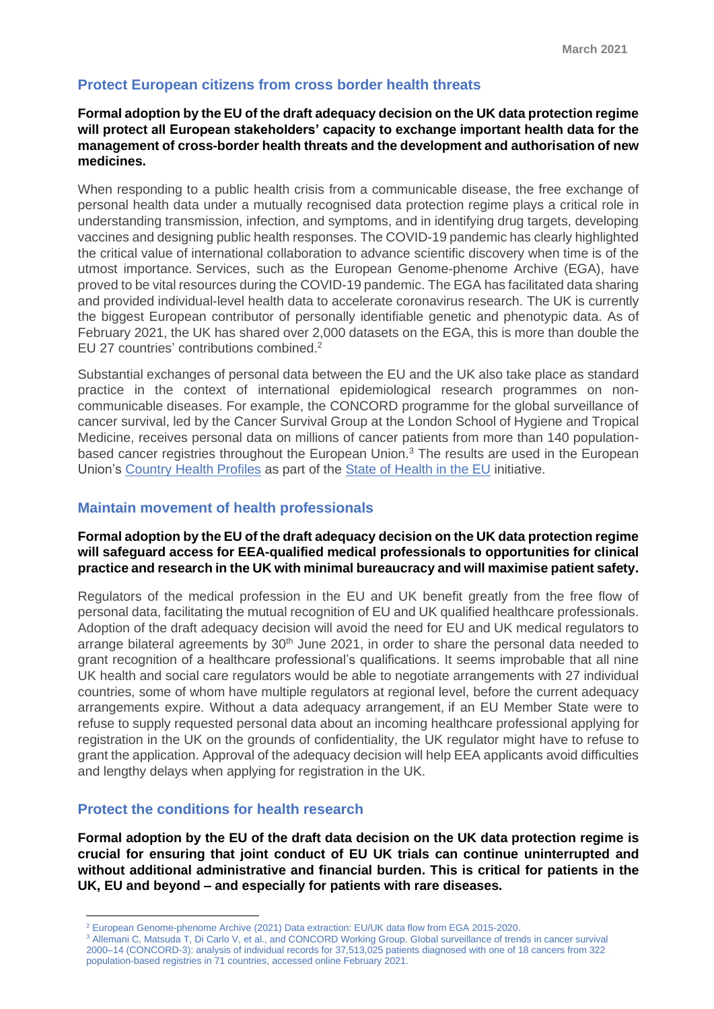## **Protect European citizens from cross border health threats**

### **Formal adoption by the EU of the draft adequacy decision on the UK data protection regime will protect all European stakeholders' capacity to exchange important health data for the management of cross-border health threats and the development and authorisation of new medicines.**

When responding to a public health crisis from a communicable disease, the free exchange of personal health data under a mutually recognised data protection regime plays a critical role in understanding transmission, infection, and symptoms, and in identifying drug targets, developing vaccines and designing public health responses. The COVID-19 pandemic has clearly highlighted the critical value of international collaboration to advance scientific discovery when time is of the utmost importance. Services, such as the European Genome-phenome Archive (EGA), have proved to be vital resources during the COVID-19 pandemic. The EGA has facilitated data sharing and provided individual-level health data to accelerate coronavirus research. The UK is currently the biggest European contributor of personally identifiable genetic and phenotypic data. As of February 2021, the UK has shared over 2,000 datasets on the EGA, this is more than double the EU 27 countries' contributions combined.<sup>2</sup>

Substantial exchanges of personal data between the EU and the UK also take place as standard practice in the context of international epidemiological research programmes on noncommunicable diseases. For example, the CONCORD programme for the global surveillance of cancer survival, led by the Cancer Survival Group at the London School of Hygiene and Tropical Medicine, receives personal data on millions of cancer patients from more than 140 populationbased cancer registries throughout the European Union.<sup>3</sup> The results are used in the European Union's [Country Health Profiles](http://ec.europa.eu/health/state/country_profiles_en) as part of the [State of Health in the EU](http://ec.europa.eu/health/state/summary_en) initiative.

#### **Maintain movement of health professionals**

### **Formal adoption by the EU of the draft adequacy decision on the UK data protection regime will safeguard access for EEA-qualified medical professionals to opportunities for clinical practice and research in the UK with minimal bureaucracy and will maximise patient safety.**

Regulators of the medical profession in the EU and UK benefit greatly from the free flow of personal data, facilitating the mutual recognition of EU and UK qualified healthcare professionals. Adoption of the draft adequacy decision will avoid the need for EU and UK medical regulators to arrange bilateral agreements by  $30<sup>th</sup>$  June 2021, in order to share the personal data needed to grant recognition of a healthcare professional's qualifications. It seems improbable that all nine UK health and social care regulators would be able to negotiate arrangements with 27 individual countries, some of whom have multiple regulators at regional level, before the current adequacy arrangements expire. Without a data adequacy arrangement, if an EU Member State were to refuse to supply requested personal data about an incoming healthcare professional applying for registration in the UK on the grounds of confidentiality, the UK regulator might have to refuse to grant the application. Approval of the adequacy decision will help EEA applicants avoid difficulties and lengthy delays when applying for registration in the UK.

#### **Protect the conditions for health research**

**Formal adoption by the EU of the draft data decision on the UK data protection regime is crucial for ensuring that joint conduct of EU UK trials can continue uninterrupted and without additional administrative and financial burden. This is critical for patients in the UK, EU and beyond – and especially for patients with rare diseases.** 

<sup>3</sup> Allemani C. Matsuda T, Di Carlo V, et al., and CONCORD Working Group. Global surveillance of trends in cancer survival 2000–14 (CONCORD-3): analysis of individual records for 37,513,025 patients diagnosed with one of 18 cancers from 322 population-based registries in 71 countries, accessed online February 2021.

<sup>2</sup> European Genome-phenome Archive (2021) Data extraction: EU/UK data flow from EGA 2015-2020.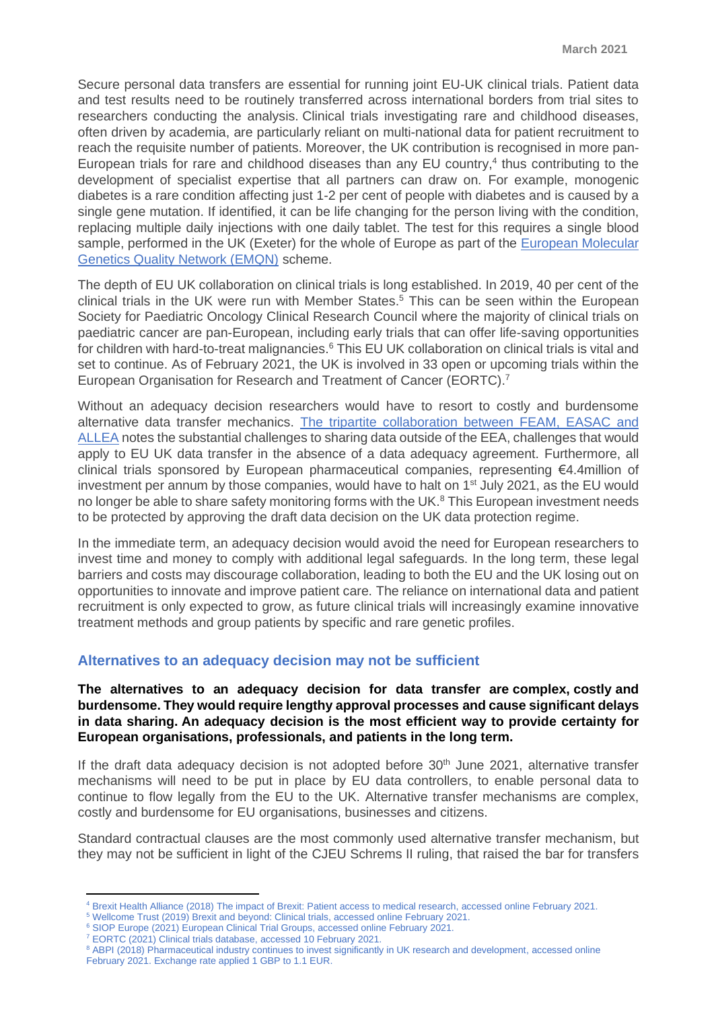Secure personal data transfers are essential for running joint EU-UK clinical trials. Patient data and test results need to be routinely transferred across international borders from trial sites to researchers conducting the analysis. Clinical trials investigating rare and childhood diseases, often driven by academia, are particularly reliant on multi-national data for patient recruitment to reach the requisite number of patients. Moreover, the UK contribution is recognised in more pan-European trials for rare and childhood diseases than any EU country, 4 thus contributing to the development of specialist expertise that all partners can draw on. For example, monogenic diabetes is a rare condition affecting just 1-2 per cent of people with diabetes and is caused by a single gene mutation. If identified, it can be life changing for the person living with the condition, replacing multiple daily injections with one daily tablet. The test for this requires a single blood sample, performed in the UK (Exeter) for the whole of Europe as part of the [European Molecular](https://protect-eu.mimecast.com/s/S-zPCnORycEEWzF9OaJ-?domain=emqn.org/)  [Genetics Quality Network \(EMQN\)](https://protect-eu.mimecast.com/s/S-zPCnORycEEWzF9OaJ-?domain=emqn.org/) scheme.

The depth of EU UK collaboration on clinical trials is long established. In 2019, 40 per cent of the clinical trials in the UK were run with Member States.<sup>5</sup> This can be seen within the European Society for Paediatric Oncology Clinical Research Council where the majority of clinical trials on paediatric cancer are pan-European, including early trials that can offer life-saving opportunities for children with hard-to-treat malignancies.<sup>6</sup> This EU UK collaboration on clinical trials is vital and set to continue. As of February 2021, the UK is involved in 33 open or upcoming trials within the European Organisation for Research and Treatment of Cancer (EORTC).<sup>7</sup>

Without an adequacy decision researchers would have to resort to costly and burdensome alternative data transfer mechanics. [The tripartite collaboration between FEAM, EASAC and](https://www.feam.eu/international-transfer-of-health-data-for-research/)  [ALLEA](https://www.feam.eu/international-transfer-of-health-data-for-research/) notes the substantial challenges to sharing data outside of the EEA, challenges that would apply to EU UK data transfer in the absence of a data adequacy agreement. Furthermore, all clinical trials sponsored by European pharmaceutical companies, representing €4.4million of investment per annum by those companies, would have to halt on 1<sup>st</sup> July 2021, as the EU would no longer be able to share safety monitoring forms with the UK.<sup>8</sup> This European investment needs to be protected by approving the draft data decision on the UK data protection regime.

In the immediate term, an adequacy decision would avoid the need for European researchers to invest time and money to comply with additional legal safeguards. In the long term, these legal barriers and costs may discourage collaboration, leading to both the EU and the UK losing out on opportunities to innovate and improve patient care. The reliance on international data and patient recruitment is only expected to grow, as future clinical trials will increasingly examine innovative treatment methods and group patients by specific and rare genetic profiles.

# **Alternatives to an adequacy decision may not be sufficient**

**The alternatives to an adequacy decision for data transfer are complex, costly and burdensome. They would require lengthy approval processes and cause significant delays in data sharing. An adequacy decision is the most efficient way to provide certainty for European organisations, professionals, and patients in the long term.**

If the draft data adequacy decision is not adopted before  $30<sup>th</sup>$  June 2021, alternative transfer mechanisms will need to be put in place by EU data controllers, to enable personal data to continue to flow legally from the EU to the UK. Alternative transfer mechanisms are complex, costly and burdensome for EU organisations, businesses and citizens.

Standard contractual clauses are the most commonly used alternative transfer mechanism, but they may not be sufficient in light of the CJEU Schrems II ruling, that raised the bar for transfers

- <sup>5</sup> Wellcome Trust (2019) Brexit and beyond: Clinical trials, accessed online February 2021.
- <sup>6</sup> SIOP Europe (2021) European Clinical Trial Groups, accessed online February 2021.
- <sup>7</sup> EORTC (2021) Clinical trials database, accessed 10 February 2021.

<sup>4</sup> Brexit Health Alliance (2018) The impact of Brexit: Patient access to medical research, accessed online February 2021.

<sup>&</sup>lt;sup>8</sup> ABPI (2018) Pharmaceutical industry continues to invest significantly in UK research and development, accessed online February 2021. Exchange rate applied 1 GBP to 1.1 EUR.